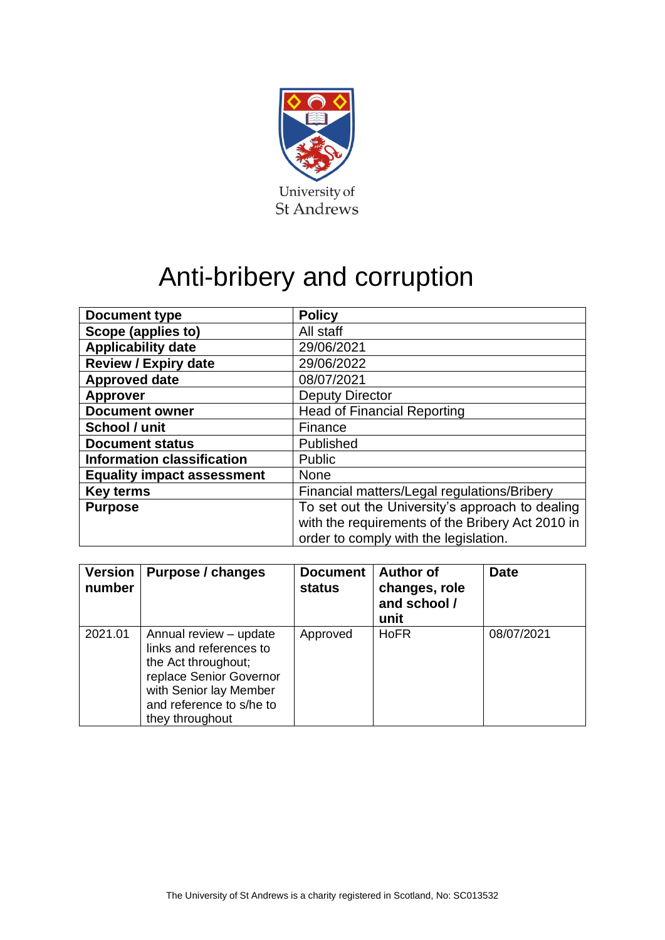

# Anti-bribery and corruption

| <b>Document type</b>              | <b>Policy</b>                                    |  |  |
|-----------------------------------|--------------------------------------------------|--|--|
| Scope (applies to)                | All staff                                        |  |  |
| <b>Applicability date</b>         | 29/06/2021                                       |  |  |
| <b>Review / Expiry date</b>       | 29/06/2022                                       |  |  |
| <b>Approved date</b>              | 08/07/2021                                       |  |  |
| <b>Approver</b>                   | <b>Deputy Director</b>                           |  |  |
| <b>Document owner</b>             | <b>Head of Financial Reporting</b>               |  |  |
| School / unit                     | Finance                                          |  |  |
| <b>Document status</b>            | Published                                        |  |  |
| <b>Information classification</b> | Public                                           |  |  |
| <b>Equality impact assessment</b> | <b>None</b>                                      |  |  |
| <b>Key terms</b>                  | Financial matters/Legal regulations/Bribery      |  |  |
| <b>Purpose</b>                    | To set out the University's approach to dealing  |  |  |
|                                   | with the requirements of the Bribery Act 2010 in |  |  |
|                                   | order to comply with the legislation.            |  |  |

| <b>Version</b><br>number | Purpose / changes                                                                                                                                                            | <b>Document</b><br><b>status</b> | <b>Author of</b><br>changes, role<br>and school /<br>unit | <b>Date</b> |
|--------------------------|------------------------------------------------------------------------------------------------------------------------------------------------------------------------------|----------------------------------|-----------------------------------------------------------|-------------|
| 2021.01                  | Annual review - update<br>links and references to<br>the Act throughout;<br>replace Senior Governor<br>with Senior lay Member<br>and reference to s/he to<br>they throughout | Approved                         | <b>HoFR</b>                                               | 08/07/2021  |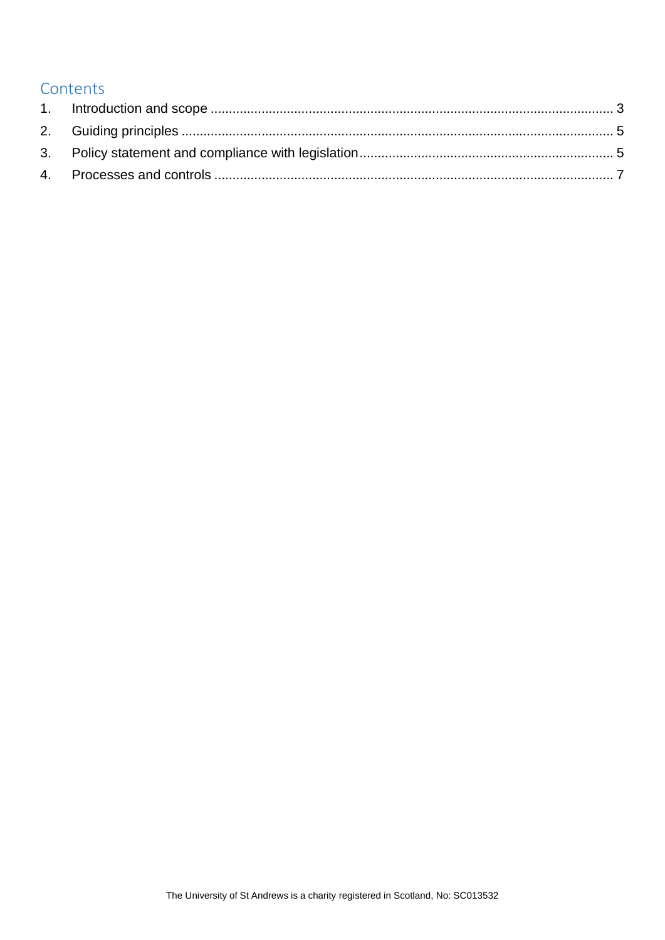# **Contents**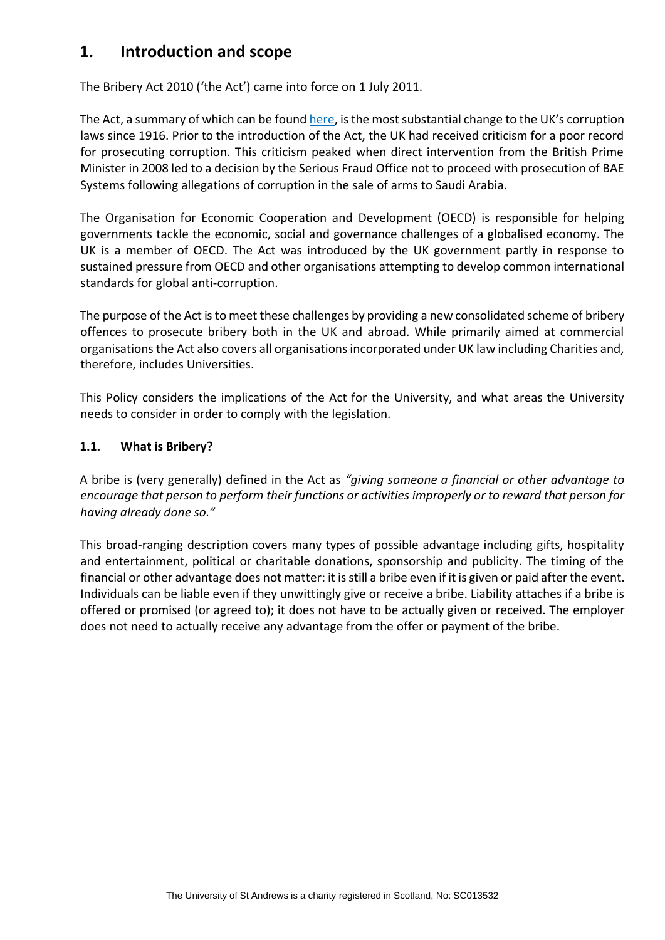# <span id="page-2-0"></span>**1. Introduction and scope**

The Bribery Act 2010 ('the Act') came into force on 1 July 2011.

The Act, a summary of which can be found [here,](http://www.justice.gov.uk/downloads/legislation/bribery-act-2010-quick-start-guide.pdf) is the most substantial change to the UK's corruption laws since 1916. Prior to the introduction of the Act, the UK had received criticism for a poor record for prosecuting corruption. This criticism peaked when direct intervention from the British Prime Minister in 2008 led to a decision by the Serious Fraud Office not to proceed with prosecution of BAE Systems following allegations of corruption in the sale of arms to Saudi Arabia.

The Organisation for Economic Cooperation and Development (OECD) is responsible for helping governments tackle the economic, social and governance challenges of a globalised economy. The UK is a member of OECD. The Act was introduced by the UK government partly in response to sustained pressure from OECD and other organisations attempting to develop common international standards for global anti-corruption.

The purpose of the Act is to meet these challenges by providing a new consolidated scheme of bribery offences to prosecute bribery both in the UK and abroad. While primarily aimed at commercial organisations the Act also covers all organisations incorporated under UK law including Charities and, therefore, includes Universities.

This Policy considers the implications of the Act for the University, and what areas the University needs to consider in order to comply with the legislation.

### **1.1. What is Bribery?**

A bribe is (very generally) defined in the Act as *"giving someone a financial or other advantage to encourage that person to perform their functions or activities improperly or to reward that person for having already done so."*

This broad-ranging description covers many types of possible advantage including gifts, hospitality and entertainment, political or charitable donations, sponsorship and publicity. The timing of the financial or other advantage does not matter: it is still a bribe even if it is given or paid after the event. Individuals can be liable even if they unwittingly give or receive a bribe. Liability attaches if a bribe is offered or promised (or agreed to); it does not have to be actually given or received. The employer does not need to actually receive any advantage from the offer or payment of the bribe.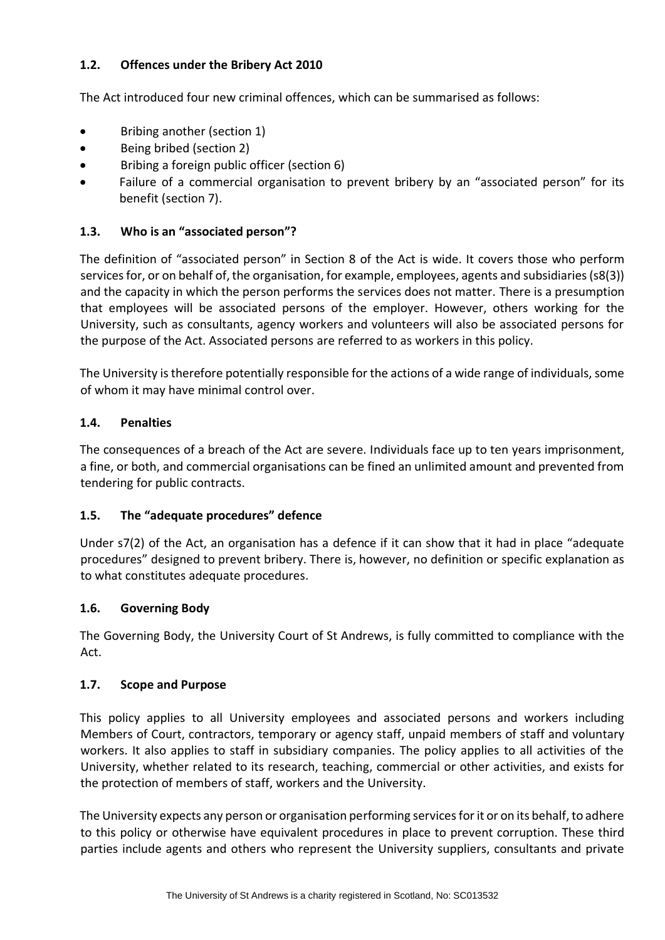## **1.2. Offences under the Bribery Act 2010**

The Act introduced four new criminal offences, which can be summarised as follows:

- Bribing another (section 1)
- Being bribed (section 2)
- Bribing a foreign public officer (section 6)
- Failure of a commercial organisation to prevent bribery by an "associated person" for its benefit (section 7).

## **1.3. Who is an "associated person"?**

The definition of "associated person" in Section 8 of the Act is wide. It covers those who perform services for, or on behalf of, the organisation, for example, employees, agents and subsidiaries (s8(3)) and the capacity in which the person performs the services does not matter. There is a presumption that employees will be associated persons of the employer. However, others working for the University, such as consultants, agency workers and volunteers will also be associated persons for the purpose of the Act. Associated persons are referred to as workers in this policy.

The University is therefore potentially responsible for the actions of a wide range of individuals, some of whom it may have minimal control over.

### **1.4. Penalties**

The consequences of a breach of the Act are severe. Individuals face up to ten years imprisonment, a fine, or both, and commercial organisations can be fined an unlimited amount and prevented from tendering for public contracts.

### **1.5. The "adequate procedures" defence**

Under s7(2) of the Act, an organisation has a defence if it can show that it had in place "adequate procedures" designed to prevent bribery. There is, however, no definition or specific explanation as to what constitutes adequate procedures.

### **1.6. Governing Body**

The Governing Body, the University Court of St Andrews, is fully committed to compliance with the Act.

#### **1.7. Scope and Purpose**

This policy applies to all University employees and associated persons and workers including Members of Court, contractors, temporary or agency staff, unpaid members of staff and voluntary workers. It also applies to staff in subsidiary companies. The policy applies to all activities of the University, whether related to its research, teaching, commercial or other activities, and exists for the protection of members of staff, workers and the University.

The University expects any person or organisation performing services for it or on its behalf, to adhere to this policy or otherwise have equivalent procedures in place to prevent corruption. These third parties include agents and others who represent the University suppliers, consultants and private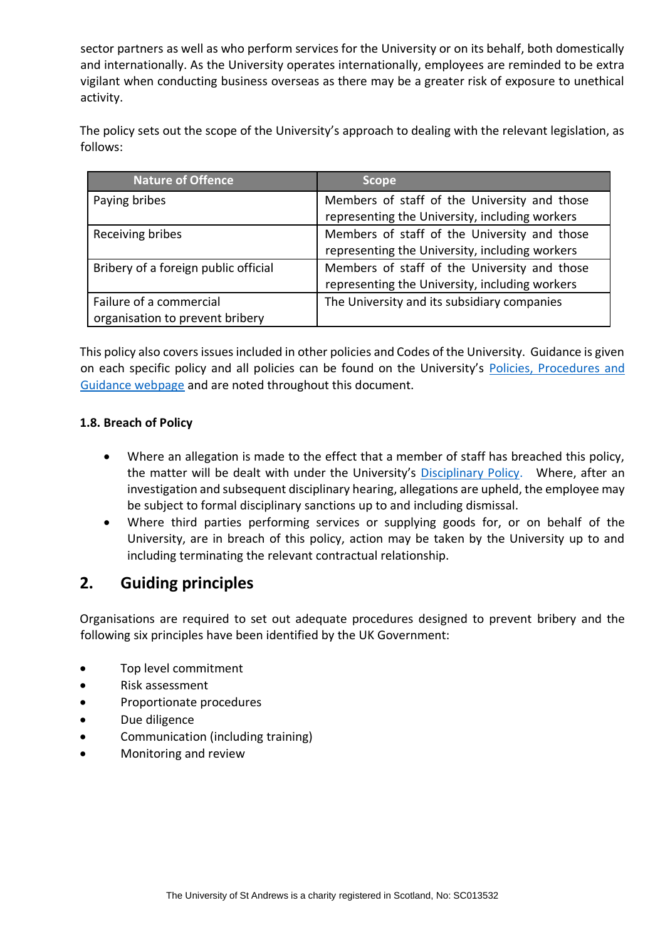sector partners as well as who perform services for the University or on its behalf, both domestically and internationally. As the University operates internationally, employees are reminded to be extra vigilant when conducting business overseas as there may be a greater risk of exposure to unethical activity.

The policy sets out the scope of the University's approach to dealing with the relevant legislation, as follows:

| <b>Nature of Offence</b>                                   | <b>Scope</b>                                                                                   |
|------------------------------------------------------------|------------------------------------------------------------------------------------------------|
| Paying bribes                                              | Members of staff of the University and those<br>representing the University, including workers |
| Receiving bribes                                           | Members of staff of the University and those<br>representing the University, including workers |
| Bribery of a foreign public official                       | Members of staff of the University and those<br>representing the University, including workers |
| Failure of a commercial<br>organisation to prevent bribery | The University and its subsidiary companies                                                    |

This policy also covers issues included in other policies and Codes of the University. Guidance is given on each specific policy and all policies can be found on the University's [Policies, Procedures and](https://www.st-andrews.ac.uk/policy/index.php)  [Guidance webpage](https://www.st-andrews.ac.uk/policy/index.php) and are noted throughout this document.

#### **1.8. Breach of Policy**

- Where an allegation is made to the effect that a member of staff has breached this policy, the matter will be dealt with under the University's [Disciplinary Policy.](http://www.st-andrews.ac.uk/staff/policy/hr/Disciplinaryprocedures/) Where, after an investigation and subsequent disciplinary hearing, allegations are upheld, the employee may be subject to formal disciplinary sanctions up to and including dismissal.
- Where third parties performing services or supplying goods for, or on behalf of the University, are in breach of this policy, action may be taken by the University up to and including terminating the relevant contractual relationship.

# <span id="page-4-0"></span>**2. Guiding principles**

Organisations are required to set out adequate procedures designed to prevent bribery and the following six principles have been identified by the UK Government:

- Top level commitment
- Risk assessment
- Proportionate procedures
- Due diligence
- Communication (including training)
- Monitoring and review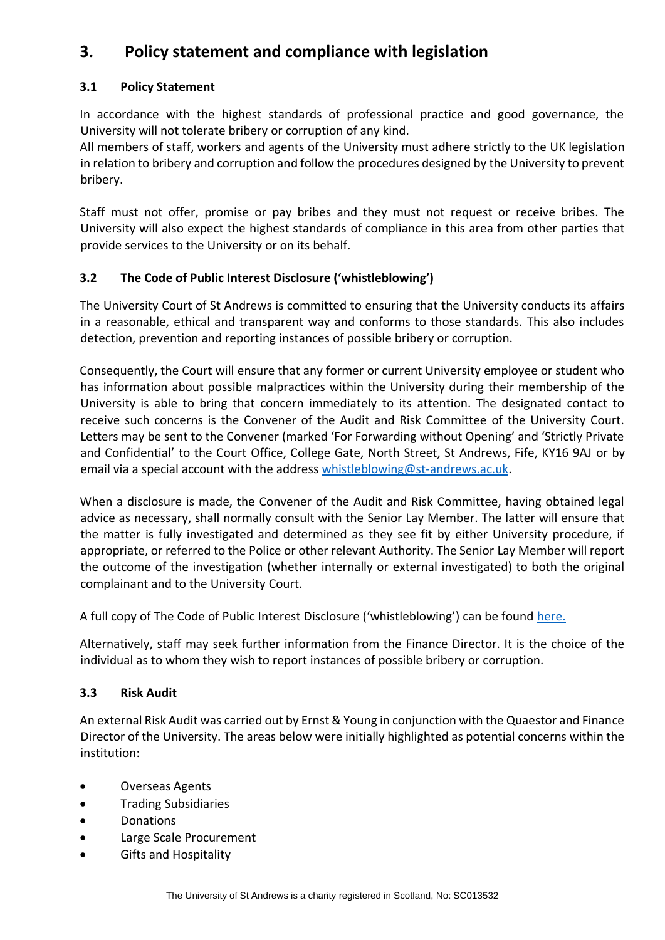# <span id="page-5-0"></span>**3. Policy statement and compliance with legislation**

## **3.1 Policy Statement**

In accordance with the highest standards of professional practice and good governance, the University will not tolerate bribery or corruption of any kind.

All members of staff, workers and agents of the University must adhere strictly to the UK legislation in relation to bribery and corruption and follow the procedures designed by the University to prevent bribery.

Staff must not offer, promise or pay bribes and they must not request or receive bribes. The University will also expect the highest standards of compliance in this area from other parties that provide services to the University or on its behalf.

## **3.2 The Code of Public Interest Disclosure ('whistleblowing')**

The University Court of St Andrews is committed to ensuring that the University conducts its affairs in a reasonable, ethical and transparent way and conforms to those standards. This also includes detection, prevention and reporting instances of possible bribery or corruption.

Consequently, the Court will ensure that any former or current University employee or student who has information about possible malpractices within the University during their membership of the University is able to bring that concern immediately to its attention. The designated contact to receive such concerns is the Convener of the Audit and Risk Committee of the University Court. Letters may be sent to the Convener (marked 'For Forwarding without Opening' and 'Strictly Private and Confidential' to the Court Office, College Gate, North Street, St Andrews, Fife, KY16 9AJ or by email via a special account with the address [whistleblowing@st-andrews.ac.uk.](mailto:whistleblowing@st-andrews.ac.uk)

When a disclosure is made, the Convener of the Audit and Risk Committee, having obtained legal advice as necessary, shall normally consult with the Senior Lay Member. The latter will ensure that the matter is fully investigated and determined as they see fit by either University procedure, if appropriate, or referred to the Police or other relevant Authority. The Senior Lay Member will report the outcome of the investigation (whether internally or external investigated) to both the original complainant and to the University Court.

A full copy of The Code of Public Interest Disclosure ('whistleblowing') can be found [here.](https://www.st-andrews.ac.uk/policy/university-governance-public-interest-disclosure-(whistle-blowing)/public_interest_disclosure_whistleblowing.pdf)

Alternatively, staff may seek further information from the Finance Director. It is the choice of the individual as to whom they wish to report instances of possible bribery or corruption.

### **3.3 Risk Audit**

An external Risk Audit was carried out by Ernst & Young in conjunction with the Quaestor and Finance Director of the University. The areas below were initially highlighted as potential concerns within the institution:

- Overseas Agents
- Trading Subsidiaries
- Donations
- Large Scale Procurement
- Gifts and Hospitality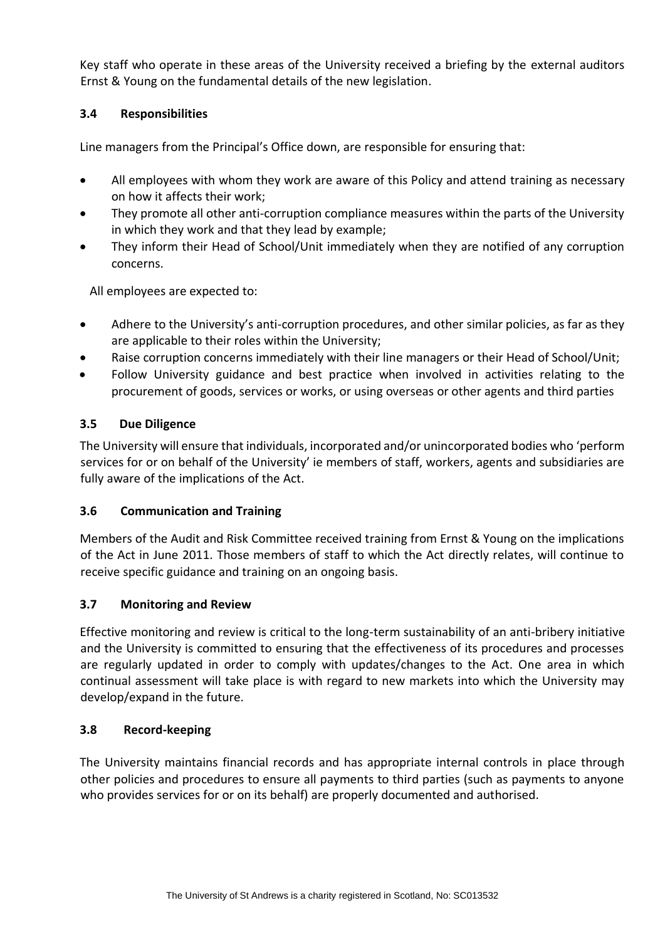Key staff who operate in these areas of the University received a briefing by the external auditors Ernst & Young on the fundamental details of the new legislation.

## **3.4 Responsibilities**

Line managers from the Principal's Office down, are responsible for ensuring that:

- All employees with whom they work are aware of this Policy and attend training as necessary on how it affects their work;
- They promote all other anti-corruption compliance measures within the parts of the University in which they work and that they lead by example;
- They inform their Head of School/Unit immediately when they are notified of any corruption concerns.

All employees are expected to:

- Adhere to the University's anti-corruption procedures, and other similar policies, as far as they are applicable to their roles within the University;
- Raise corruption concerns immediately with their line managers or their Head of School/Unit;
- Follow University guidance and best practice when involved in activities relating to the procurement of goods, services or works, or using overseas or other agents and third parties

## **3.5 Due Diligence**

The University will ensure that individuals, incorporated and/or unincorporated bodies who 'perform services for or on behalf of the University' ie members of staff, workers, agents and subsidiaries are fully aware of the implications of the Act.

### **3.6 Communication and Training**

Members of the Audit and Risk Committee received training from Ernst & Young on the implications of the Act in June 2011. Those members of staff to which the Act directly relates, will continue to receive specific guidance and training on an ongoing basis.

### **3.7 Monitoring and Review**

Effective monitoring and review is critical to the long-term sustainability of an anti-bribery initiative and the University is committed to ensuring that the effectiveness of its procedures and processes are regularly updated in order to comply with updates/changes to the Act. One area in which continual assessment will take place is with regard to new markets into which the University may develop/expand in the future.

### **3.8 Record-keeping**

The University maintains financial records and has appropriate internal controls in place through other policies and procedures to ensure all payments to third parties (such as payments to anyone who provides services for or on its behalf) are properly documented and authorised.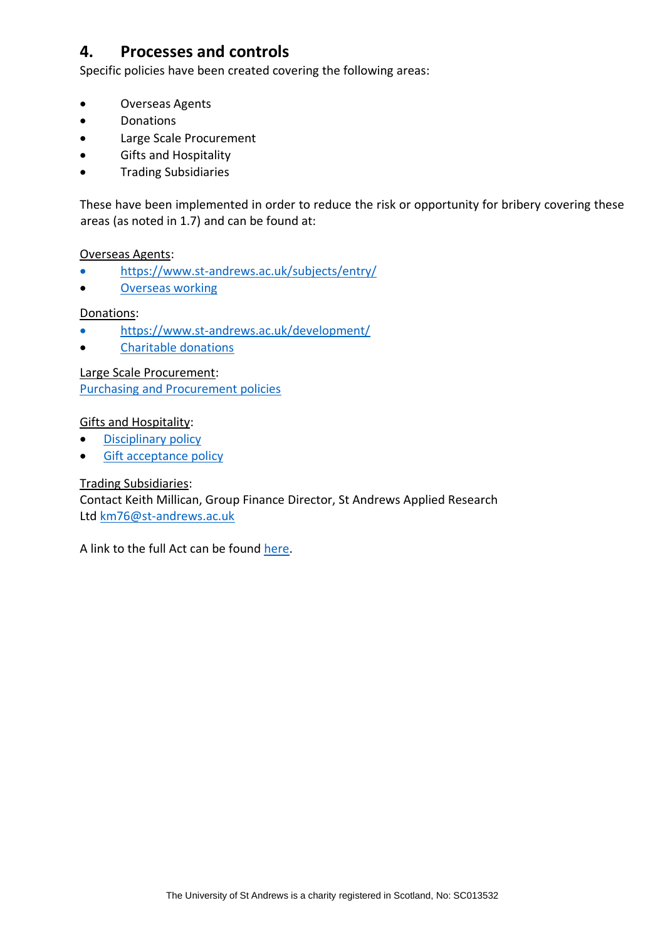# <span id="page-7-0"></span>**4. Processes and controls**

Specific policies have been created covering the following areas:

- Overseas Agents
- Donations
- Large Scale Procurement
- Gifts and Hospitality
- Trading Subsidiaries

These have been implemented in order to reduce the risk or opportunity for bribery covering these areas (as noted in 1.7) and can be found at:

#### Overseas Agents:

- <https://www.st-andrews.ac.uk/subjects/entry/>
- [Overseas working](https://www.st-andrews.ac.uk/policy/staff-recruitment/overseas-working.pdf)

#### Donations:

- <https://www.st-andrews.ac.uk/development/>
- [Charitable donations](https://www.st-andrews.ac.uk/policy/financial-matters-donations-and-investments/charitable-donations.pdf)

Large Scale Procurement: [Purchasing and Procurement policies](https://www.st-andrews.ac.uk/policy/search/?form=partial&query=%21nullquery&num_ranks=10&profile=_default&collection=uosa-meta-policy&f.Category%7Ckeyterm1%5b%5d=Purchasing+and+procurement)

#### Gifts and Hospitality:

- [Disciplinary policy](http://www.st-andrews.ac.uk/staff/policy/hr/Disciplinaryprocedures/)
- [Gift acceptance policy](https://www.st-andrews.ac.uk/policy/external-relations-fundraising-fundraising-campaigns/gift-acceptance-policy.pdf)

#### Trading Subsidiaries:

Contact Keith Millican, Group Finance Director, St Andrews Applied Research Ltd [km76@st-andrews.ac.uk](mailto:km76@st-andrews.ac.uk)

A link to the full Act can be found [here.](https://www.legislation.gov.uk/ukpga/2010/23/contents/enacted)